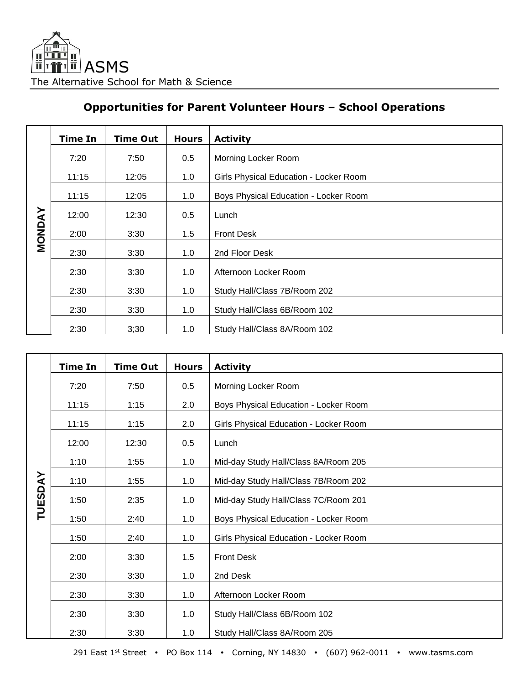## **Opportunities for Parent Volunteer Hours – School Operations**

|               | <b>Time In</b> | <b>Time Out</b> | <b>Hours</b> | <b>Activity</b>                        |
|---------------|----------------|-----------------|--------------|----------------------------------------|
| <b>MONDAY</b> | 7:20           | 7:50            | 0.5          | Morning Locker Room                    |
|               | 11:15          | 12:05           | 1.0          | Girls Physical Education - Locker Room |
|               | 11:15          | 12:05           | 1.0          | Boys Physical Education - Locker Room  |
|               | 12:00          | 12:30           | 0.5          | Lunch                                  |
|               |                |                 |              |                                        |
|               | 2:00           | 3:30            | 1.5          | <b>Front Desk</b>                      |
|               | 2:30           | 3:30            | 1.0          | 2nd Floor Desk                         |
|               | 2:30           | 3:30            | 1.0          | Afternoon Locker Room                  |
|               | 2:30           | 3:30            | 1.0          | Study Hall/Class 7B/Room 202           |
|               | 2:30           | 3:30            | 1.0          | Study Hall/Class 6B/Room 102           |
|               | 2:30           | 3;30            | 1.0          | Study Hall/Class 8A/Room 102           |

|                | <b>Time In</b> | <b>Time Out</b> | <b>Hours</b> | <b>Activity</b>                        |
|----------------|----------------|-----------------|--------------|----------------------------------------|
|                | 7:20           | 7:50            | 0.5          | Morning Locker Room                    |
|                | 11:15          | 1:15            | 2.0          | Boys Physical Education - Locker Room  |
|                | 11:15          | 1:15            | 2.0          | Girls Physical Education - Locker Room |
|                | 12:00          | 12:30           | 0.5          | Lunch                                  |
|                | 1:10           | 1:55            | 1.0          | Mid-day Study Hall/Class 8A/Room 205   |
|                |                |                 |              |                                        |
| <b>TUESDAY</b> | 1:10           | 1:55            | 1.0          | Mid-day Study Hall/Class 7B/Room 202   |
|                | 1:50           | 2:35            | 1.0          | Mid-day Study Hall/Class 7C/Room 201   |
|                | 1:50           | 2:40            | 1.0          | Boys Physical Education - Locker Room  |
|                | 1:50           | 2:40            | 1.0          | Girls Physical Education - Locker Room |
|                | 2:00           | 3:30            | 1.5          | <b>Front Desk</b>                      |
|                | 2:30           | 3:30            | 1.0          | 2nd Desk                               |
|                | 2:30           | 3:30            | 1.0          | Afternoon Locker Room                  |
|                | 2:30           | 3:30            | 1.0          | Study Hall/Class 6B/Room 102           |
|                | 2:30           | 3:30            | 1.0          | Study Hall/Class 8A/Room 205           |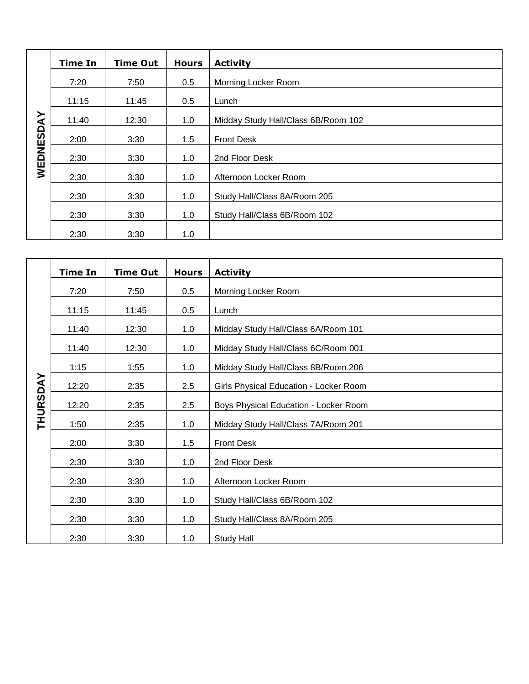|           | <b>Time In</b> | <b>Time Out</b> | <b>Hours</b> | <b>Activity</b>                     |
|-----------|----------------|-----------------|--------------|-------------------------------------|
| WEDNESDAY | 7:20           | 7:50            | 0.5          | Morning Locker Room                 |
|           | 11:15          | 11:45           | 0.5          | Lunch                               |
|           | 11:40          | 12:30           | 1.0          | Midday Study Hall/Class 6B/Room 102 |
|           | 2:00           | 3:30            | 1.5          | <b>Front Desk</b>                   |
|           | 2:30           | 3:30            | 1.0          | 2nd Floor Desk                      |
|           | 2:30           | 3:30            | 1.0          | Afternoon Locker Room               |
|           | 2:30           | 3:30            | 1.0          | Study Hall/Class 8A/Room 205        |
|           | 2:30           | 3:30            | 1.0          | Study Hall/Class 6B/Room 102        |
|           |                |                 |              |                                     |
|           | 2:30           | 3:30            | 1.0          |                                     |

|                 | <b>Time In</b> | <b>Time Out</b> | <b>Hours</b> | <b>Activity</b>                        |
|-----------------|----------------|-----------------|--------------|----------------------------------------|
| <b>THURSDAY</b> | 7:20           | 7:50            | 0.5          | Morning Locker Room                    |
|                 | 11:15          | 11:45           | 0.5          | Lunch                                  |
|                 | 11:40          | 12:30           | 1.0          | Midday Study Hall/Class 6A/Room 101    |
|                 | 11:40          | 12:30           | 1.0          | Midday Study Hall/Class 6C/Room 001    |
|                 | 1:15           | 1:55            | 1.0          | Midday Study Hall/Class 8B/Room 206    |
|                 | 12:20          | 2:35            | 2.5          | Girls Physical Education - Locker Room |
|                 | 12:20          | 2:35            | 2.5          | Boys Physical Education - Locker Room  |
|                 | 1:50           | 2:35            | 1.0          | Midday Study Hall/Class 7A/Room 201    |
|                 |                |                 |              | <b>Front Desk</b>                      |
|                 | 2:00           | 3:30            | 1.5          |                                        |
|                 | 2:30           | 3:30            | 1.0          | 2nd Floor Desk                         |
|                 | 2:30           | 3:30            | 1.0          | Afternoon Locker Room                  |
|                 | 2:30           | 3:30            | 1.0          | Study Hall/Class 6B/Room 102           |
|                 | 2:30           | 3:30            | 1.0          | Study Hall/Class 8A/Room 205           |
|                 | 2:30           | 3:30            | 1.0          | Study Hall                             |